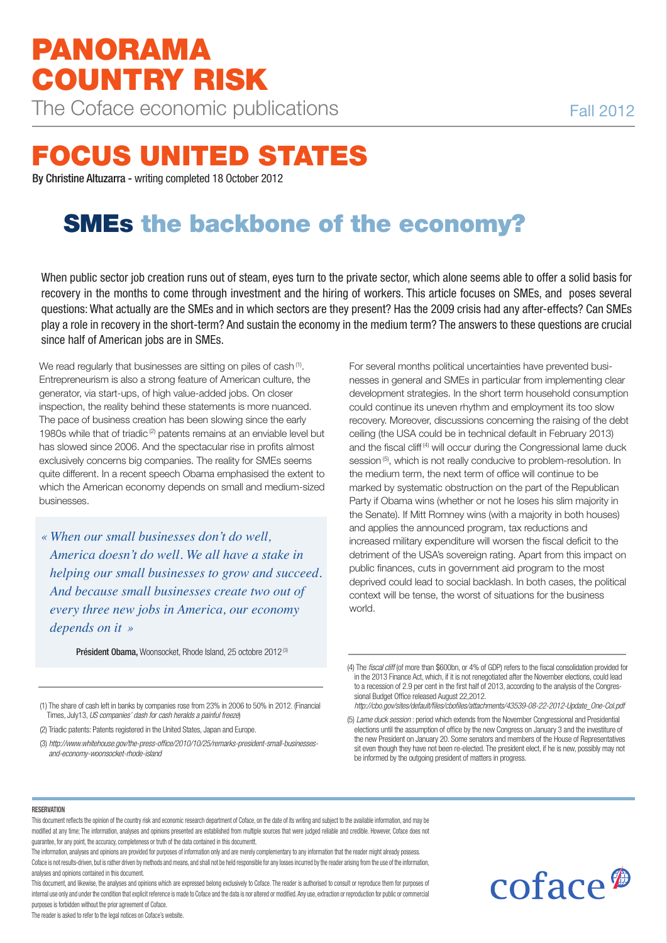# **Focus united states**

By Christine Altuzarra - writing completed 18 October 2012

# **smes the backbone of the economy?**

When public sector job creation runs out of steam, eyes turn to the private sector, which alone seems able to offer a solid basis for recovery in the months to come through investment and the hiring of workers. This article focuses on SMEs, and poses several questions: What actually are the SMEs and in which sectors are they present? Has the 2009 crisis had any after-effects? Can SMEs play a role in recovery in the short-term? And sustain the economy in the medium term? The answers to these questions are crucial since half of American jobs are in SMEs.

We read regularly that businesses are sitting on piles of cash<sup>(1)</sup>. Entrepreneurism is also a strong feature of American culture, the generator, via start-ups, of high value-added jobs. On closer inspection, the reality behind these statements is more nuanced. The pace of business creation has been slowing since the early 1980s while that of triadic (2) patents remains at an enviable level but has slowed since 2006. And the spectacular rise in profits almost exclusively concerns big companies. The reality for SMEs seems quite different. In a recent speech Obama emphasised the extent to which the American economy depends on small and medium-sized businesses.

*« When our small businesses don't do well, America doesn't do well. We all have a stake in helping our small businesses to grow and succeed. And because small businesses create two out of every three new jobs in America, our economy depends on it »*

Président Obama, Woonsocket, Rhode Island, 25 octobre 2012<sup>(3)</sup>

(1) The share of cash left in banks by companies rose from 23% in 2006 to 50% in 2012. (Financial Times, July13, US companies' dash for cash heralds a painful freeze)

(2) Triadic patents: Patents registered in the United States, Japan and Europe.

(3) http://www.whitehouse.gov/the-press-office/2010/10/25/remarks-president-small-businessesand-economy-woonsocket-rhode-island

For several months political uncertainties have prevented businesses in general and SMEs in particular from implementing clear development strategies. In the short term household consumption could continue its uneven rhythm and employment its too slow recovery. Moreover, discussions concerning the raising of the debt ceiling (the USA could be in technical default in February 2013) and the fiscal cliff<sup>(4)</sup> will occur during the Congressional lame duck session<sup>(5)</sup>, which is not really conducive to problem-resolution. In the medium term, the next term of office will continue to be marked by systematic obstruction on the part of the Republican Party if Obama wins (whether or not he loses his slim majority in the Senate). If Mitt Romney wins (with a majority in both houses) and applies the announced program, tax reductions and increased military expenditure will worsen the fiscal deficit to the detriment of the USA's sovereign rating. Apart from this impact on public finances, cuts in government aid program to the most deprived could lead to social backlash. In both cases, the political context will be tense, the worst of situations for the business world.

coface<sup>®</sup>

#### **RESERVATION**

This document reflects the opinion of the country risk and economic research department of Coface, on the date of its writing and subject to the available information, and may be modified at any time; The information, analyses and opinions presented are established from multiple sources that were judged reliable and credible. However, Coface does not guarantee, for any point, the accuracy, completeness or truth of the data contained in this documentt.

The information, analyses and opinions are provided for purposes of information only and are merely complementary to any information that the reader might already possess. Coface is not results-driven, but is rather driven by methods and means, and shall not be held responsible for any losses incurred by the reader arising from the use of the information, analyses and opinions contained in this document.

This document, and likewise, the analyses and opinions which are expressed belong exclusively to Coface. The reader is authorised to consult or reproduce them for purposes of internal use only and under the condition that explicit reference is made to Coface and the data is nor altered or modified.Any use, extraction or reproduction for public or commercial purposes is forbidden without the prior agreement of Coface.

The reader is asked to refer to the legal notices on Coface's website.

<sup>(4)</sup> The fiscal cliff (of more than \$600bn, or 4% of GDP) refers to the fiscal consolidation provided for in the 2013 Finance Act, which, if it is not renegotiated after the November elections, could lead to a recession of 2.9 per cent in the first half of 2013, according to the analysis of the Congressional Budget Office released August 22,2012.

http://cbo.gov/sites/default/files/cbofiles/attachments/43539-08-22-2012-Update\_One-Col.pdf

<sup>(5)</sup> Lame duck session : period which extends from the November Congressional and Presidential elections until the assumption of office by the new Congress on January 3 and the investiture of the new President on January 20. Some senators and members of the House of Representatives sit even though they have not been re-elected. The president elect, if he is new, possibly may not be informed by the outgoing president of matters in progress.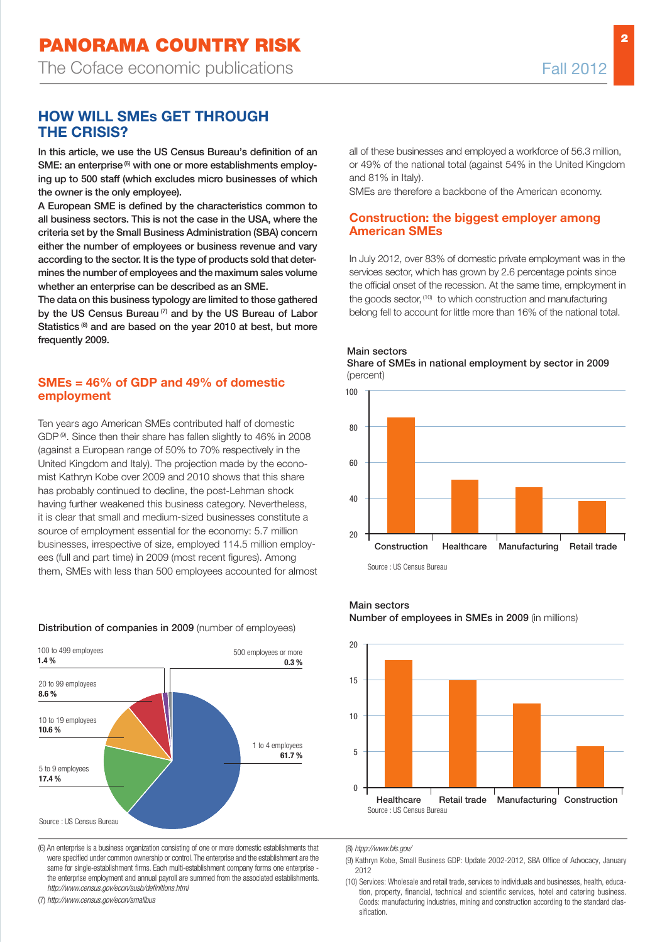**2**

# **HOW WILL SMEs GET THROUGH THE CRISIS?**

In this article, we use the US Census Bureau's definition of an SME: an enterprise $^{(6)}$  with one or more establishments employing up to 500 staff (which excludes micro businesses of which the owner is the only employee).

A European SME is defined by the characteristics common to all business sectors. This is not the case in the USA, where the criteria set by the Small Business Administration (SBA) concern either the number of employees or business revenue and vary according to the sector. It is the type of products sold that determines the number of employees and the maximum sales volume whether an enterprise can be described as an SME.

The data on this business typology are limited to those gathered by the US Census Bureau  $(7)$  and by the US Bureau of Labor Statistics<sup>(8)</sup> and are based on the year 2010 at best, but more frequently 2009.

#### **SMEs = 46% of GDP and 49% of domestic employment**

Ten years ago American SMEs contributed half of domestic GDP <sup>(9)</sup>. Since then their share has fallen slightly to 46% in 2008 (against a European range of 50% to 70% respectively in the United Kingdom and Italy). The projection made by the economist Kathryn Kobe over 2009 and 2010 shows that this share has probably continued to decline, the post-Lehman shock having further weakened this business category. Nevertheless, it is clear that small and medium-sized businesses constitute a source of employment essential for the economy: 5.7 million businesses, irrespective of size, employed 114.5 million employees (full and part time) in 2009 (most recent figures). Among them, SMEs with less than 500 employees accounted for almost

#### Distribution of companies in 2009 (number of employees)



(6) An enterprise is a business organization consisting of one or more domestic establishments that were specified under common ownership or control.The enterprise and the establishment are the same for single-establishment firms. Each multi-establishment company forms one enterprise the enterprise employment and annual payroll are summed from the associated establishments. http://www.census.gov/econ/susb/definitions.html

(7) http://www.census.gov/econ/smallbus

all of these businesses and employed a workforce of 56.3 million, or 49% of the national total (against 54% in the United Kingdom and 81% in Italy).

SMEs are therefore a backbone of the American economy.

#### **Construction: the biggest employer among American SMEs**

In July 2012, over 83% of domestic private employment was in the services sector, which has grown by 2.6 percentage points since the official onset of the recession. At the same time, employment in the goods sector, <sup>(10)</sup> to which construction and manufacturing belong fell to account for little more than 16% of the national total.



Main sectors

Main sectors

Number of employees in SMEs in 2009 (in millions)



(8) htpp://www.bls.gov/

(9) Kathryn Kobe, Small Business GDP: Update 2002-2012, SBA Office of Advocacy, January 2012

(10) Services: Wholesale and retail trade, services to individuals and businesses, health, education, property, financial, technical and scientific services, hotel and catering business. Goods: manufacturing industries, mining and construction according to the standard classification.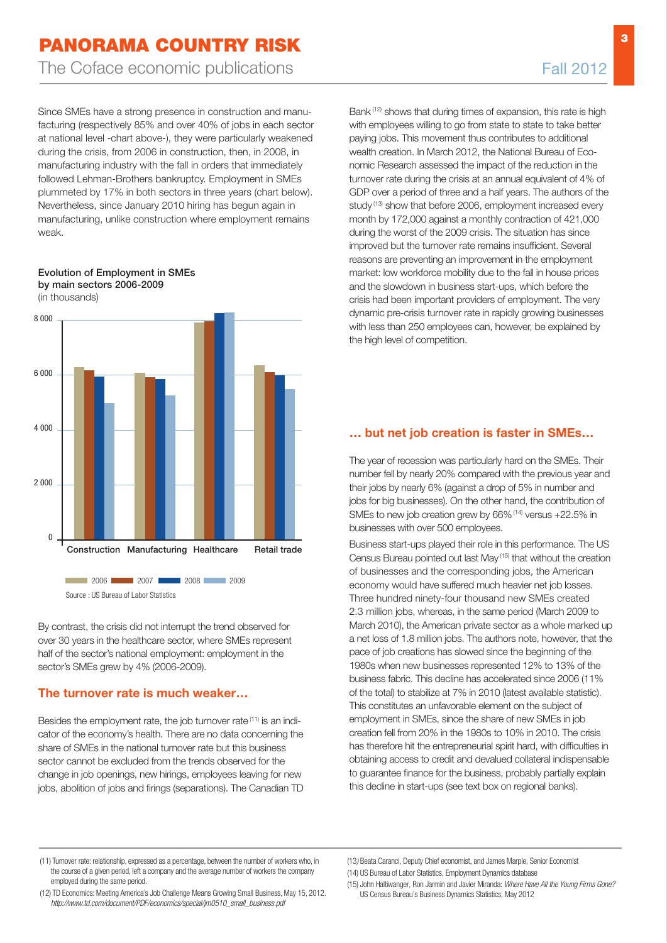# **Panorama country risk** The Coface economic publications The Coface economic publications Fall 2012

Since SMEs have a strong presence in construction and manufacturing (respectively 85% and over 40% of jobs in each sector at national level -chart above-), they were particularly weakened during the crisis, from 2006 in construction, then, in 2008, in manufacturing industry with the fall in orders that immediately followed Lehman-Brothers bankruptcy. Employment in SMEs plummeted by 17% in both sectors in three years (chart below). Nevertheless, since January 2010 hiring has begun again in manufacturing, unlike construction where employment remains weak.

Evolution of Employment in SMEs

# by main sectors 2006-2009 (in thousands) 8 000  $6,000$ 4 000 2 000  $\Omega$ 2006 2007 2008 2009 2009 Construction Manufacturing Healthcare Retail trade Source : US Bureau of Labor Statistics

By contrast, the crisis did not interrupt the trend observed for over 30 years in the healthcare sector, where SMEs represent half of the sector's national employment: employment in the sector's SMEs grew by 4% (2006-2009).

### **The turnover rate is much weaker…**

Besides the employment rate, the job turnover rate (11) is an indicator of the economy's health. There are no data concerning the share of SMEs in the national turnover rate but this business sector cannot be excluded from the trends observed for the change in job openings, new hirings, employees leaving for new jobs, abolition of jobs and firings (separations). The Canadian TD Bank (12) shows that during times of expansion, this rate is high with employees willing to go from state to state to take better paying jobs. This movement thus contributes to additional wealth creation. In March 2012, the National Bureau of Economic Research assessed the impact of the reduction in the turnover rate during the crisis at an annual equivalent of 4% of GDP over a period of three and a half years. The authors of the study<sup>(13)</sup> show that before 2006, employment increased every month by 172,000 against a monthly contraction of 421,000 during the worst of the 2009 crisis. The situation has since improved but the turnover rate remains insufficient. Several reasons are preventing an improvement in the employment market: low workforce mobility due to the fall in house prices and the slowdown in business start-ups, which before the crisis had been important providers of employment. The very dynamic pre-crisis turnover rate in rapidly growing businesses with less than 250 employees can, however, be explained by the high level of competition.

## **… but net job creation is faster in SMEs…**

The year of recession was particularly hard on the SMEs. Their number fell by nearly 20% compared with the previous year and their jobs by nearly 6% (against a drop of 5% in number and jobs for big businesses). On the other hand, the contribution of SMEs to new job creation grew by 66%<sup>(14)</sup> versus +22.5% in businesses with over 500 employees.

Business start-ups played their role in this performance. The US Census Bureau pointed out last May (15) that without the creation of businesses and the corresponding jobs, the American economy would have suffered much heavier net job losses. Three hundred ninety-four thousand new SMEs created 2.3 million jobs, whereas, in the same period (March 2009 to March 2010), the American private sector as a whole marked up a net loss of 1.8 million jobs. The authors note, however, that the pace of job creations has slowed since the beginning of the 1980s when new businesses represented 12% to 13% of the business fabric. This decline has accelerated since 2006 (11% of the total) to stabilize at 7% in 2010 (latest available statistic). This constitutes an unfavorable element on the subject of employment in SMEs, since the share of new SMEs in job creation fell from 20% in the 1980s to 10% in 2010. The crisis has therefore hit the entrepreneurial spirit hard, with difficulties in obtaining access to credit and devalued collateral indispensable to guarantee finance for the business, probably partially explain this decline in start-ups (see text box on regional banks).

http://www.td.com/document/PDF/economics/special/jm0510\_small\_business.pdf

(13) Beata Caranci, Deputy Chief economist, and James Marple, Senior Economist (14) US Bureau of Labor Statistics, Employment Dynamics database

(15) John Haltiwanger, Ron Jarmin and Javier Miranda: Where Have All the Young Firms Gone? US Census Bureau's Business Dynamics Statistics, May 2012

<sup>(11)</sup> Turnover rate: relationship, expressed as a percentage, between the number of workers who, in the course of a given period, left a company and the average number of workers the company employed during the same period. (12) TD Economics: Meeting America's Job Challenge Means Growing Small Business, May 15, 2012.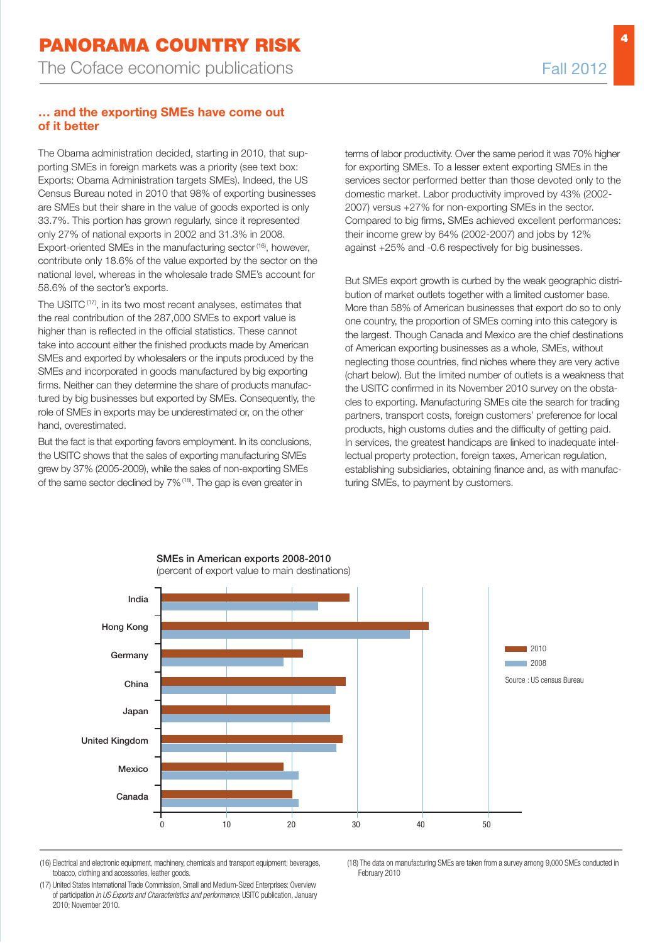### **… and the exporting SMEs have come out of it better**

The Obama administration decided, starting in 2010, that supporting SMEs in foreign markets was a priority (see text box: Exports: Obama Administration targets SMEs). Indeed, the US Census Bureau noted in 2010 that 98% of exporting businesses are SMEs but their share in the value of goods exported is only 33.7%. This portion has grown regularly, since it represented only 27% of national exports in 2002 and 31.3% in 2008. Export-oriented SMEs in the manufacturing sector <sup>(16)</sup>, however, contribute only 18.6% of the value exported by the sector on the national level, whereas in the wholesale trade SME's account for 58.6% of the sector's exports.

The USITC<sup>(17)</sup>, in its two most recent analyses, estimates that the real contribution of the 287,000 SMEs to export value is higher than is reflected in the official statistics. These cannot take into account either the finished products made by American SMEs and exported by wholesalers or the inputs produced by the SMEs and incorporated in goods manufactured by big exporting firms. Neither can they determine the share of products manufactured by big businesses but exported by SMEs. Consequently, the role of SMEs in exports may be underestimated or, on the other hand, overestimated.

But the fact is that exporting favors employment. In its conclusions, the USITC shows that the sales of exporting manufacturing SMEs grew by 37% (2005-2009), while the sales of non-exporting SMEs of the same sector declined by 7%<sup>(18)</sup>. The gap is even greater in

terms of labor productivity. Over the same period it was 70% higher for exporting SMEs. To a lesser extent exporting SMEs in the services sector performed better than those devoted only to the domestic market. Labor productivity improved by 43% (2002- 2007) versus +27% for non-exporting SMEs in the sector. Compared to big firms, SMEs achieved excellent performances: their income grew by 64% (2002-2007) and jobs by 12% against +25% and -0.6 respectively for big businesses.

But SMEs export growth is curbed by the weak geographic distribution of market outlets together with a limited customer base. More than 58% of American businesses that export do so to only one country, the proportion of SMEs coming into this category is the largest. Though Canada and Mexico are the chief destinations of American exporting businesses as a whole, SMEs, without neglecting those countries, find niches where they are very active (chart below). But the limited number of outlets is a weakness that the USITC confirmed in its November 2010 survey on the obstacles to exporting. Manufacturing SMEs cite the search for trading partners, transport costs, foreign customers' preference for local products, high customs duties and the difficulty of getting paid. In services, the greatest handicaps are linked to inadequate intellectual property protection, foreign taxes, American regulation, establishing subsidiaries, obtaining finance and, as with manufacturing SMEs, to payment by customers.



(16) Electrical and electronic equipment, machinery, chemicals and transport equipment; beverages, tobacco, clothing and accessories, leather goods.

(17) United States International Trade Commission, Small and Medium-Sized Enterprises: Overview of participation in US Exports and Characteristics and performance, USITC publication, January 2010; November 2010.

(18) The data on manufacturing SMEs are taken from a survey among 9,000 SMEs conducted in February 2010

**4**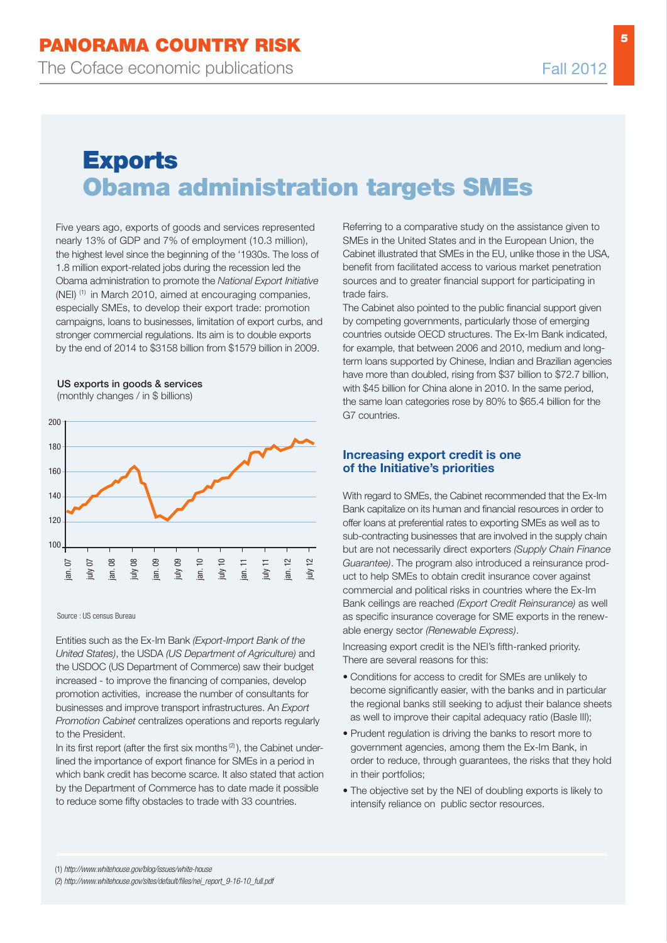**5**

# **exports obama administration targets smes**

Five years ago, exports of goods and services represented nearly 13% of GDP and 7% of employment (10.3 million), the highest level since the beginning of the '1930s. The loss of 1.8 million export-related jobs during the recession led the Obama administration to promote the National Export Initiative (NEI) (1) in March 2010, aimed at encouraging companies, especially SMEs, to develop their export trade: promotion campaigns, loans to businesses, limitation of export curbs, and stronger commercial regulations. Its aim is to double exports by the end of 2014 to \$3158 billion from \$1579 billion in 2009.

US exports in goods & services

(monthly changes / in \$ billions)



Source : US census Bureau

Entities such as the Ex-Im Bank (Export-Import Bank of the United States), the USDA (US Department of Agriculture) and the USDOC (US Department of Commerce) saw their budget increased - to improve the financing of companies, develop promotion activities, increase the number of consultants for businesses and improve transport infrastructures. An Export Promotion Cabinet centralizes operations and reports regularly to the President.

In its first report (after the first six months $(2)$ ), the Cabinet underlined the importance of export finance for SMEs in a period in which bank credit has become scarce. It also stated that action by the Department of Commerce has to date made it possible to reduce some fifty obstacles to trade with 33 countries.

Referring to a comparative study on the assistance given to SMEs in the United States and in the European Union, the Cabinet illustrated that SMEs in the EU, unlike those in the USA, benefit from facilitated access to various market penetration sources and to greater financial support for participating in trade fairs.

The Cabinet also pointed to the public financial support given by competing governments, particularly those of emerging countries outside OECD structures. The Ex-Im Bank indicated, for example, that between 2006 and 2010, medium and longterm loans supported by Chinese, Indian and Brazilian agencies have more than doubled, rising from \$37 billion to \$72.7 billion, with \$45 billion for China alone in 2010. In the same period, the same loan categories rose by 80% to \$65.4 billion for the G7 countries.

### **Increasing export credit is one of the Initiative's priorities**

With regard to SMEs, the Cabinet recommended that the Ex-Im Bank capitalize on its human and financial resources in order to offer loans at preferential rates to exporting SMEs as well as to sub-contracting businesses that are involved in the supply chain but are not necessarily direct exporters (Supply Chain Finance Guarantee). The program also introduced a reinsurance product to help SMEs to obtain credit insurance cover against commercial and political risks in countries where the Ex-Im Bank ceilings are reached (Export Credit Reinsurance) as well as specific insurance coverage for SME exports in the renewable energy sector (Renewable Express).

Increasing export credit is the NEI's fifth-ranked priority. There are several reasons for this:

- Conditions for access to credit for SMEs are unlikely to become significantly easier, with the banks and in particular the regional banks still seeking to adjust their balance sheets as well to improve their capital adequacy ratio (Basle III);
- Prudent regulation is driving the banks to resort more to government agencies, among them the Ex-Im Bank, in order to reduce, through guarantees, the risks that they hold in their portfolios;
- The objective set by the NEI of doubling exports is likely to intensify reliance on public sector resources.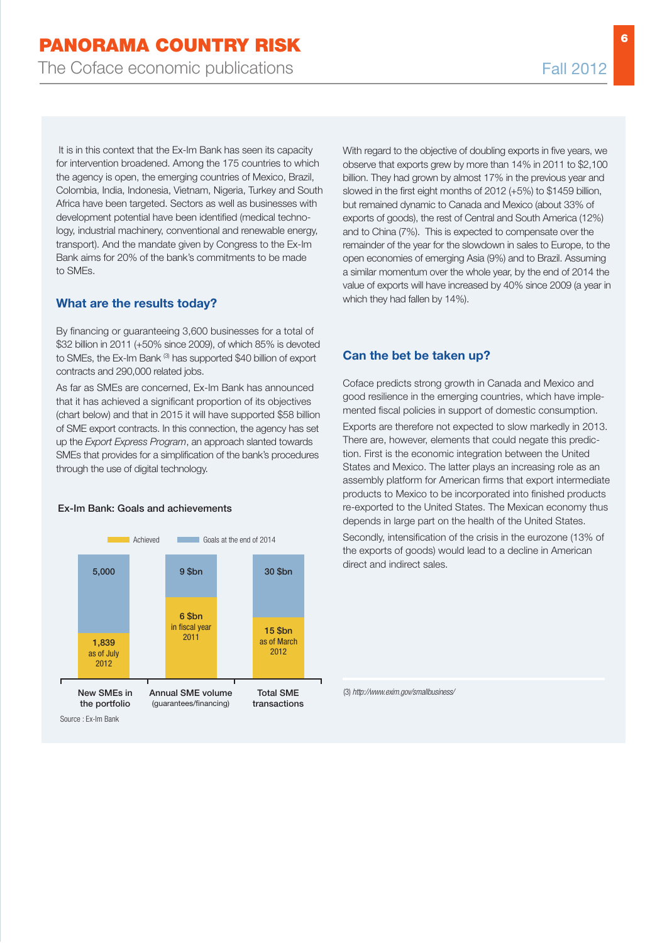**6**

It is in this context that the Ex-Im Bank has seen its capacity for intervention broadened. Among the 175 countries to which the agency is open, the emerging countries of Mexico, Brazil, Colombia, India, Indonesia, Vietnam, Nigeria, Turkey and South Africa have been targeted. Sectors as well as businesses with development potential have been identified (medical technology, industrial machinery, conventional and renewable energy, transport). And the mandate given by Congress to the Ex-Im Bank aims for 20% of the bank's commitments to be made to SMEs.

### **What are the results today?**

By financing or guaranteeing 3,600 businesses for a total of \$32 billion in 2011 (+50% since 2009), of which 85% is devoted to SMEs, the Ex-Im Bank (3) has supported \$40 billion of export contracts and 290,000 related jobs.

As far as SMEs are concerned, Ex-Im Bank has announced that it has achieved a significant proportion of its objectives (chart below) and that in 2015 it will have supported \$58 billion of SME export contracts. In this connection, the agency has set up the Export Express Program, an approach slanted towards SMEs that provides for a simplification of the bank's procedures through the use of digital technology.

#### New SMEs in the portfolio Annual SME volume (guarantees/financing) Total SME transactions 5,000 1,839 as of July 2012 9 \$bn 6 \$bn in fiscal year 2011 30 \$bn 15 \$bn as of March 2012 Achieved Goals at the end of 2014

#### Ex-Im Bank: Goals and achievements

With regard to the objective of doubling exports in five years, we observe that exports grew by more than 14% in 2011 to \$2,100 billion. They had grown by almost 17% in the previous year and slowed in the first eight months of 2012 (+5%) to \$1459 billion, but remained dynamic to Canada and Mexico (about 33% of exports of goods), the rest of Central and South America (12%) and to China (7%). This is expected to compensate over the remainder of the year for the slowdown in sales to Europe, to the open economies of emerging Asia (9%) and to Brazil. Assuming a similar momentum over the whole year, by the end of 2014 the value of exports will have increased by 40% since 2009 (a year in which they had fallen by 14%).

### **Can the bet be taken up?**

Coface predicts strong growth in Canada and Mexico and good resilience in the emerging countries, which have implemented fiscal policies in support of domestic consumption.

Exports are therefore not expected to slow markedly in 2013. There are, however, elements that could negate this prediction. First is the economic integration between the United States and Mexico. The latter plays an increasing role as an assembly platform for American firms that export intermediate products to Mexico to be incorporated into finished products re-exported to the United States. The Mexican economy thus depends in large part on the health of the United States.

Secondly, intensification of the crisis in the eurozone (13% of the exports of goods) would lead to a decline in American direct and indirect sales.

(3) http://www.exim.gov/smallbusiness/



Source : Ex-Im Bank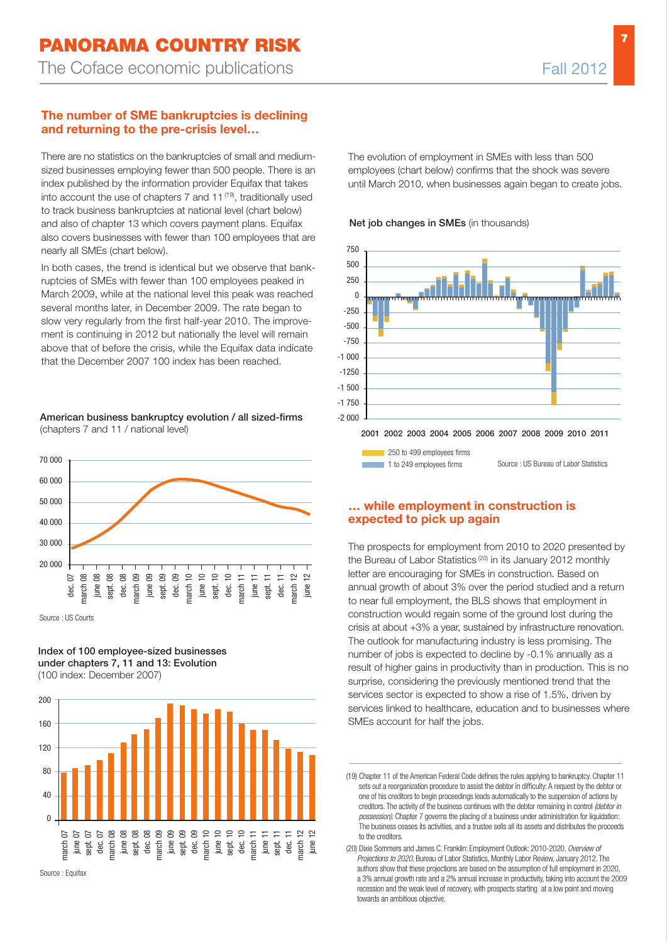### **The number of SME bankruptcies is declining and returning to the pre-crisis level…**

There are no statistics on the bankruptcies of small and mediumsized businesses employing fewer than 500 people. There is an index published by the information provider Equifax that takes into account the use of chapters 7 and 11<sup>(19)</sup>, traditionally used to track business bankruptcies at national level (chart below) and also of chapter 13 which covers payment plans. Equifax also covers businesses with fewer than 100 employees that are nearly all SMEs (chart below).

In both cases, the trend is identical but we observe that bankruptcies of SMEs with fewer than 100 employees peaked in March 2009, while at the national level this peak was reached several months later, in December 2009. The rate began to slow very regularly from the first half-year 2010. The improvement is continuing in 2012 but nationally the level will remain above that of before the crisis, while the Equifax data indicate that the December 2007 100 index has been reached.

American business bankruptcy evolution / all sized-firms (chapters 7 and 11 / national level)



Source : US Courts

Index of 100 employee-sized businesses under chapters 7, 11 and 13: Evolution (100 index: December 2007)



Source : Equifax

The evolution of employment in SMEs with less than 500 employees (chart below) confirms that the shock was severe until March 2010, when businesses again began to create jobs.





250 to 499 employees firms

Source : US Bureau of Labor Statistics

#### **… while employment in construction is expected to pick up again**

1 to 249 employees firms

The prospects for employment from 2010 to 2020 presented by the Bureau of Labor Statistics (20) in its January 2012 monthly letter are encouraging for SMEs in construction. Based on annual growth of about 3% over the period studied and a return to near full employment, the BLS shows that employment in construction would regain some of the ground lost during the crisis at about +3% a year, sustained by infrastructure renovation. The outlook for manufacturing industry is less promising. The number of jobs is expected to decline by -0.1% annually as a result of higher gains in productivity than in production. This is no surprise, considering the previously mentioned trend that the services sector is expected to show a rise of 1.5%, driven by services linked to healthcare, education and to businesses where SMEs account for half the jobs.

<sup>(19)</sup> Chapter 11 of the American Federal Code defines the rules applying to bankruptcy. Chapter 11 sets out a reorganization procedure to assist the debtor in difficulty: A request by the debtor or one of his creditors to begin proceedings leads automatically to the suspension of actions by creditors. The activity of the business continues with the debtor remaining in control (debtor in possession). Chapter 7 governs the placing of a business under administration for liquidation: The business ceases its activities, and a trustee sells all its assets and distributes the proceeds to the creditors.

<sup>(20)</sup> Dixie Sommers and James C. Franklin: Employment Outlook: 2010-2020, Overview of Projections to 2020, Bureau of Labor Statistics, Monthly Labor Review, January 2012. The authors show that these projections are based on the assumption of full employment in 2020, a 3% annual growth rate and a 2% annual increase in productivity, taking into account the 2009 recession and the weak level of recovery, with prospects starting at a low point and moving towards an ambitious objective.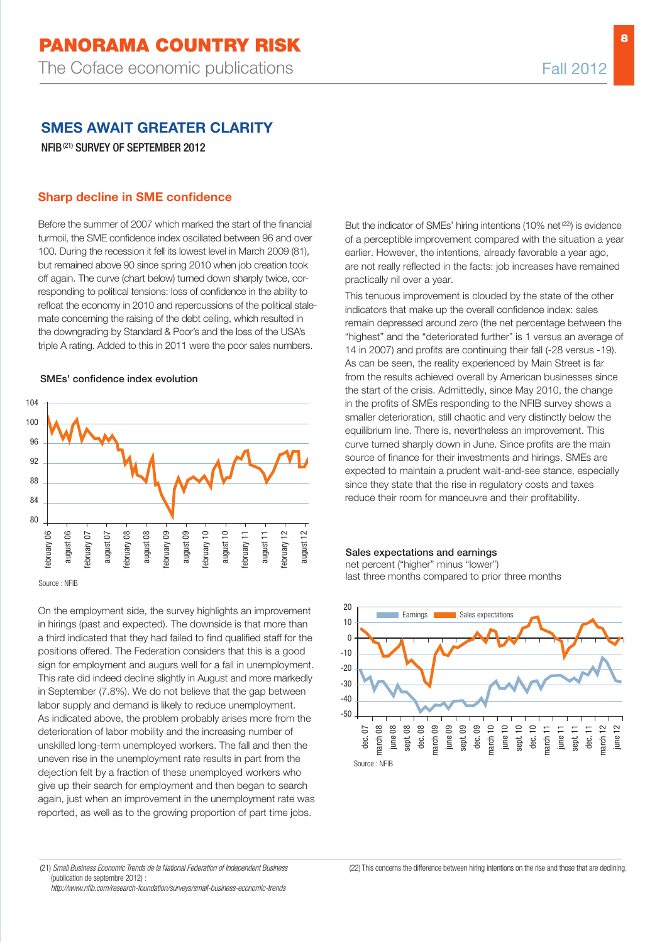# **SMES AWAIT GREATER CLARITY**

NFIB(21) SURVEY OF SEPTEMBER 2012

#### **Sharp decline in SME confidence**

Before the summer of 2007 which marked the start of the financial turmoil, the SME confidence index oscillated between 96 and over 100. During the recession it fell its lowest level in March 2009 (81), but remained above 90 since spring 2010 when job creation took off again. The curve (chart below) turned down sharply twice, corresponding to political tensions: loss of confidence in the ability to refloat the economy in 2010 and repercussions of the political stalemate concerning the raising of the debt ceiling, which resulted in the downgrading by Standard & Poor's and the loss of the USA's triple A rating. Added to this in 2011 were the poor sales numbers.

#### SMEs' confidence index evolution



Source : NFIB

On the employment side, the survey highlights an improvement in hirings (past and expected). The downside is that more than a third indicated that they had failed to find qualified staff for the positions offered. The Federation considers that this is a good sign for employment and augurs well for a fall in unemployment. This rate did indeed decline slightly in August and more markedly in September (7.8%). We do not believe that the gap between labor supply and demand is likely to reduce unemployment. As indicated above, the problem probably arises more from the deterioration of labor mobility and the increasing number of unskilled long-term unemployed workers. The fall and then the uneven rise in the unemployment rate results in part from the dejection felt by a fraction of these unemployed workers who give up their search for employment and then began to search again, just when an improvement in the unemployment rate was reported, as well as to the growing proportion of part time jobs.

But the indicator of SMEs' hiring intentions (10% net<sup>(22)</sup>) is evidence of a perceptible improvement compared with the situation a year earlier. However, the intentions, already favorable a year ago, are not really reflected in the facts: job increases have remained practically nil over a year.

This tenuous improvement is clouded by the state of the other indicators that make up the overall confidence index: sales remain depressed around zero (the net percentage between the "highest" and the "deteriorated further" is 1 versus an average of 14 in 2007) and profits are continuing their fall (-28 versus -19). As can be seen, the reality experienced by Main Street is far from the results achieved overall by American businesses since the start of the crisis. Admittedly, since May 2010, the change in the profits of SMEs responding to the NFIB survey shows a smaller deterioration, still chaotic and very distinctly below the equilibrium line. There is, nevertheless an improvement. This curve turned sharply down in June. Since profits are the main source of finance for their investments and hirings, SMEs are expected to maintain a prudent wait-and-see stance, especially since they state that the rise in regulatory costs and taxes reduce their room for manoeuvre and their profitability.

#### Sales expectations and earnings

net percent ("higher" minus "lower") last three months compared to prior three months



http://www.nfib.com/research-foundation/surveys/small-business-economic-trends

<sup>(21)</sup> Small Business Economic Trends de la National Federation of Independent Business (publication de septembre 2012) :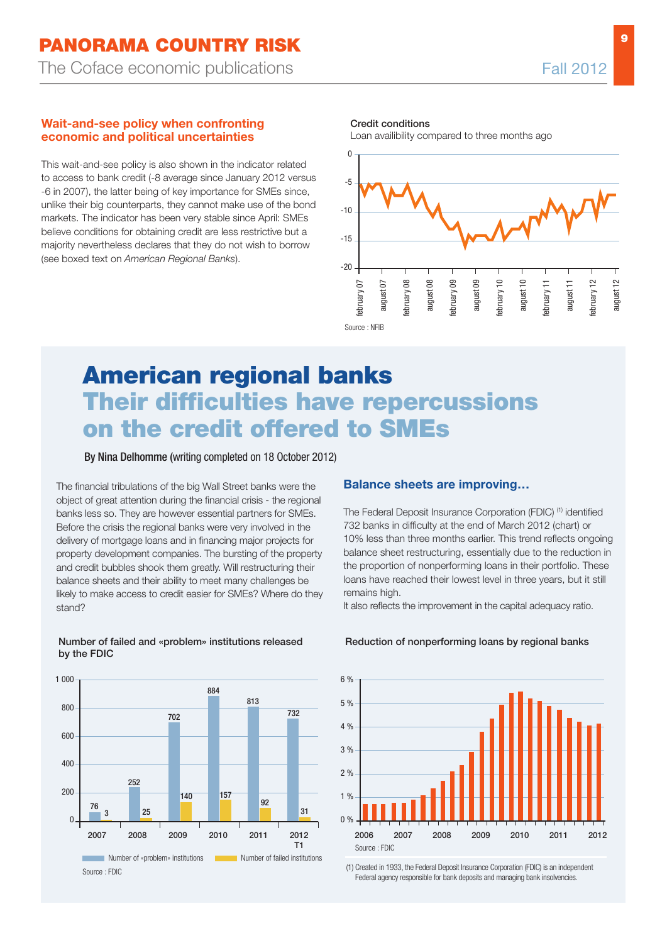#### **Wait-and-see policy when confronting economic and political uncertainties**

This wait-and-see policy is also shown in the indicator related to access to bank credit (-8 average since January 2012 versus -6 in 2007), the latter being of key importance for SMEs since, unlike their big counterparts, they cannot make use of the bond markets. The indicator has been very stable since April: SMEs believe conditions for obtaining credit are less restrictive but a majority nevertheless declares that they do not wish to borrow (see boxed text on *American Regional Banks*).

Credit conditions

Loan availibility compared to three months ago



# **american regional banks their difficulties have repercussions on the credit offered to smes**

By Nina Delhomme (writing completed on 18 October 2012)

The financial tribulations of the big Wall Street banks were the object of great attention during the financial crisis - the regional banks less so. They are however essential partners for SMEs. Before the crisis the regional banks were very involved in the delivery of mortgage loans and in financing major projects for property development companies. The bursting of the property and credit bubbles shook them greatly. Will restructuring their balance sheets and their ability to meet many challenges be likely to make access to credit easier for SMEs? Where do they stand?

Number of failed and «problem» institutions released

by the FDIC

# **Balance sheets are improving…**

The Federal Deposit Insurance Corporation (FDIC) (1) identified 732 banks in difficulty at the end of March 2012 (chart) or 10% less than three months earlier. This trend reflects ongoing balance sheet restructuring, essentially due to the reduction in the proportion of nonperforming loans in their portfolio. These loans have reached their lowest level in three years, but it still remains high.

It also reflects the improvement in the capital adequacy ratio.



#### Reduction of nonperforming loans by regional banks



(1) Created in 1933, the Federal Deposit Insurance Corporation (FDIC) is an independent Federal agency responsible for bank deposits and managing bank insolvencies.

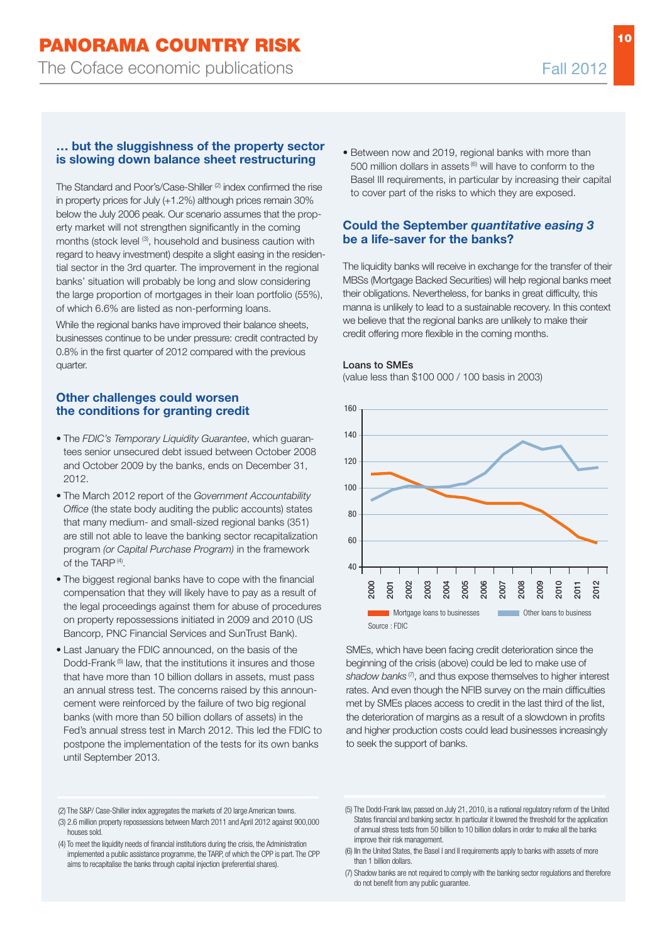### **… but the sluggishness of the property sector is slowing down balance sheet restructuring**

The Standard and Poor's/Case-Shiller (2) index confirmed the rise in property prices for July (+1.2%) although prices remain 30% below the July 2006 peak. Our scenario assumes that the property market will not strengthen significantly in the coming months (stock level <sup>(3)</sup>, household and business caution with regard to heavy investment) despite a slight easing in the residential sector in the 3rd quarter. The improvement in the regional banks' situation will probably be long and slow considering the large proportion of mortgages in their loan portfolio (55%), of which 6.6% are listed as non-performing loans.

While the regional banks have improved their balance sheets, businesses continue to be under pressure: credit contracted by 0.8% in the first quarter of 2012 compared with the previous quarter.

### **Other challenges could worsen the conditions for granting credit**

- The FDIC's Temporary Liquidity Guarantee, which guarantees senior unsecured debt issued between October 2008 and October 2009 by the banks, ends on December 31, 2012.
- The March 2012 report of the Government Accountability Office (the state body auditing the public accounts) states that many medium- and small-sized regional banks (351) are still not able to leave the banking sector recapitalization program (or Capital Purchase Program) in the framework of the TARP <sup>(4)</sup>.
- The biggest regional banks have to cope with the financial compensation that they will likely have to pay as a result of the legal proceedings against them for abuse of procedures on property repossessions initiated in 2009 and 2010 (US Bancorp, PNC Financial Services and SunTrust Bank).
- Last January the FDIC announced, on the basis of the Dodd-Frank (5) law, that the institutions it insures and those that have more than 10 billion dollars in assets, must pass an annual stress test. The concerns raised by this announcement were reinforced by the failure of two big regional banks (with more than 50 billion dollars of assets) in the Fed's annual stress test in March 2012. This led the FDIC to postpone the implementation of the tests for its own banks until September 2013.

• Between now and 2019, regional banks with more than 500 million dollars in assets (6) will have to conform to the Basel III requirements, in particular by increasing their capital to cover part of the risks to which they are exposed.

### **Could the September** *quantitative easing 3* **be a life-saver for the banks?**

The liquidity banks will receive in exchange for the transfer of their MBSs (Mortgage Backed Securities) will help regional banks meet their obligations. Nevertheless, for banks in great difficulty, this manna is unlikely to lead to a sustainable recovery. In this context we believe that the regional banks are unlikely to make their credit offering more flexible in the coming months.

#### Loans to SMEs

(value less than \$100 000 / 100 basis in 2003)



SMEs, which have been facing credit deterioration since the beginning of the crisis (above) could be led to make use of shadow banks<sup>(7)</sup>, and thus expose themselves to higher interest rates. And even though the NFIB survey on the main difficulties met by SMEs places access to credit in the last third of the list, the deterioration of margins as a result of a slowdown in profits and higher production costs could lead businesses increasingly to seek the support of banks.

<sup>(2)</sup> The S&P/ Case-Shiller index aggregates the markets of 20 large American towns.

<sup>(3)</sup> 2.6 million property repossessions between March 2011 and April 2012 against 900,000 houses sold.

<sup>(4)</sup> To meet the liquidity needs of financial institutions during the crisis, the Administration implemented a public assistance programme, the TARP, of which the CPP is part. The CPP aims to recapitalise the banks through capital injection (preferential shares).

<sup>(5)</sup> The Dodd-Frank law, passed on July 21, 2010, is a national regulatory reform of the United States financial and banking sector. In particular it lowered the threshold for the application of annual stress tests from 50 billion to 10 billion dollars in order to make all the banks improve their risk management.

<sup>(6)</sup> IIn the United States, the Basel I and II requirements apply to banks with assets of more than 1 billion dollars.

<sup>(7)</sup> Shadow banks are not required to comply with the banking sector regulations and therefore do not benefit from any public guarantee.